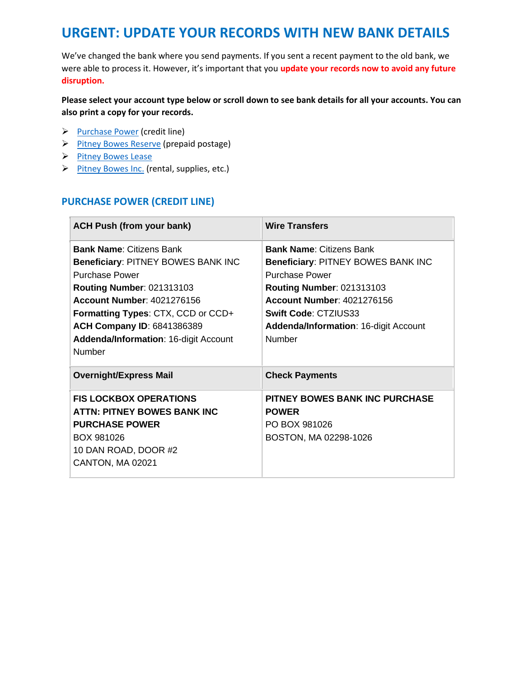# **URGENT: UPDATE YOUR RECORDS WITH NEW BANK DETAILS**

We've changed the bank where you send payments. If you sent a recent payment to the old bank, we were able to process it. However, it's important that you **update your records now to avoid any future disruption.** 

#### **Please select your account type below or scroll down to see bank details for all your accounts. You can also print a copy for your records.**

- ➢ [Purchase Power](#page-0-0) (credit line)
- ➢ [Pitney Bowes Reserve](#page-0-1) (prepaid postage)
- ➢ [Pitney Bowes Lease](#page-1-0)
- <span id="page-0-0"></span>➢ [Pitney Bowes Inc.](#page-2-0) (rental, supplies, etc.)

#### **PURCHASE POWER (CREDIT LINE)**

<span id="page-0-1"></span>

| <b>ACH Push (from your bank)</b>                                                                                                                                                                                                                                                                             | <b>Wire Transfers</b>                                                                                                                                                                                                                                            |
|--------------------------------------------------------------------------------------------------------------------------------------------------------------------------------------------------------------------------------------------------------------------------------------------------------------|------------------------------------------------------------------------------------------------------------------------------------------------------------------------------------------------------------------------------------------------------------------|
| <b>Bank Name: Citizens Bank</b><br>Beneficiary: PITNEY BOWES BANK INC<br><b>Purchase Power</b><br><b>Routing Number: 021313103</b><br>Account Number: 4021276156<br><b>Formatting Types: CTX, CCD or CCD+</b><br><b>ACH Company ID: 6841386389</b><br><b>Addenda/Information: 16-digit Account</b><br>Number | <b>Bank Name: Citizens Bank</b><br>Beneficiary: PITNEY BOWES BANK INC<br><b>Purchase Power</b><br><b>Routing Number: 021313103</b><br>Account Number: 4021276156<br><b>Swift Code: CTZIUS33</b><br><b>Addenda/Information: 16-digit Account</b><br><b>Number</b> |
| <b>Overnight/Express Mail</b>                                                                                                                                                                                                                                                                                | <b>Check Payments</b>                                                                                                                                                                                                                                            |
| <b>FIS LOCKBOX OPERATIONS</b><br><b>ATTN: PITNEY BOWES BANK INC</b><br><b>PURCHASE POWER</b><br>BOX 981026<br>10 DAN ROAD, DOOR #2<br>CANTON, MA 02021                                                                                                                                                       | PITNEY BOWES BANK INC PURCHASE<br><b>POWER</b><br>PO BOX 981026<br>BOSTON, MA 02298-1026                                                                                                                                                                         |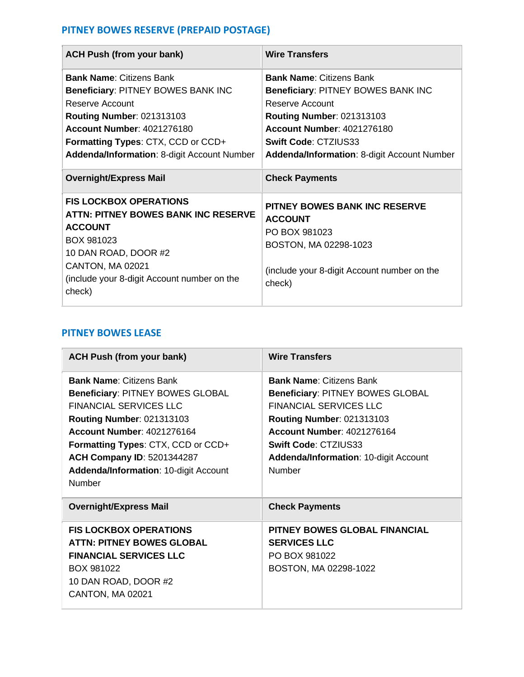## **PITNEY BOWES RESERVE (PREPAID POSTAGE)**

| <b>ACH Push (from your bank)</b>                                                                                                                                                                                                                       | <b>Wire Transfers</b>                                                                                                                                                                                                                           |
|--------------------------------------------------------------------------------------------------------------------------------------------------------------------------------------------------------------------------------------------------------|-------------------------------------------------------------------------------------------------------------------------------------------------------------------------------------------------------------------------------------------------|
| <b>Bank Name: Citizens Bank</b><br>Beneficiary: PITNEY BOWES BANK INC<br>Reserve Account<br><b>Routing Number: 021313103</b><br><b>Account Number: 4021276180</b><br>Formatting Types: CTX, CCD or CCD+<br>Addenda/Information: 8-digit Account Number | <b>Bank Name: Citizens Bank</b><br>Beneficiary: PITNEY BOWES BANK INC<br>Reserve Account<br><b>Routing Number: 021313103</b><br><b>Account Number: 4021276180</b><br><b>Swift Code: CTZIUS33</b><br>Addenda/Information: 8-digit Account Number |
| <b>Overnight/Express Mail</b>                                                                                                                                                                                                                          | <b>Check Payments</b>                                                                                                                                                                                                                           |
| <b>FIS LOCKBOX OPERATIONS</b><br><b>ATTN: PITNEY BOWES BANK INC RESERVE</b><br><b>ACCOUNT</b><br>BOX 981023<br>10 DAN ROAD, DOOR #2<br>CANTON, MA 02021<br>(include your 8-digit Account number on the<br>check)                                       | <b>PITNEY BOWES BANK INC RESERVE</b><br><b>ACCOUNT</b><br>PO BOX 981023<br>BOSTON, MA 02298-1023<br>(include your 8-digit Account number on the<br>check)                                                                                       |

### <span id="page-1-0"></span>**PITNEY BOWES LEASE**

| <b>ACH Push (from your bank)</b>                                                                                                                                                                                                                                                                                          | <b>Wire Transfers</b>                                                                                                                                                                                                                                                  |
|---------------------------------------------------------------------------------------------------------------------------------------------------------------------------------------------------------------------------------------------------------------------------------------------------------------------------|------------------------------------------------------------------------------------------------------------------------------------------------------------------------------------------------------------------------------------------------------------------------|
| <b>Bank Name: Citizens Bank</b><br><b>Beneficiary: PITNEY BOWES GLOBAL</b><br><b>FINANCIAL SERVICES LLC</b><br><b>Routing Number: 021313103</b><br>Account Number: 4021276164<br>Formatting Types: CTX, CCD or CCD+<br><b>ACH Company ID: 5201344287</b><br><b>Addenda/Information: 10-digit Account</b><br><b>Number</b> | <b>Bank Name: Citizens Bank</b><br><b>Beneficiary: PITNEY BOWES GLOBAL</b><br><b>FINANCIAL SERVICES LLC</b><br><b>Routing Number: 021313103</b><br><b>Account Number: 4021276164</b><br><b>Swift Code: CTZIUS33</b><br>Addenda/Information: 10-digit Account<br>Number |
| <b>Overnight/Express Mail</b>                                                                                                                                                                                                                                                                                             | <b>Check Payments</b>                                                                                                                                                                                                                                                  |
| <b>FIS LOCKBOX OPERATIONS</b><br><b>ATTN: PITNEY BOWES GLOBAL</b><br><b>FINANCIAL SERVICES LLC</b><br>BOX 981022<br>10 DAN ROAD, DOOR #2<br>CANTON, MA 02021                                                                                                                                                              | PITNEY BOWES GLOBAL FINANCIAL<br><b>SERVICES LLC</b><br>PO BOX 981022<br>BOSTON, MA 02298-1022                                                                                                                                                                         |